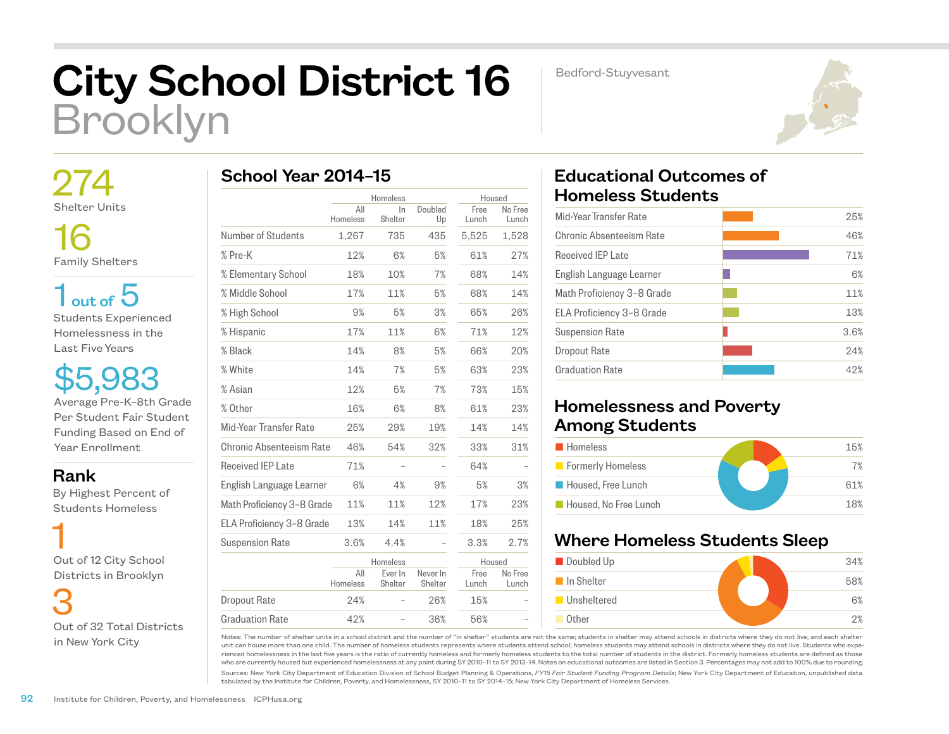## City School District 16 Brooklyn

Bedford-Stuyvesant



 274 Shelter Units

16 Family Shelters

 $1<sub>out of</sub> 5$ Students Experienced Homelessness in the Last Five Years

\$5,983 Average Pre-K–8th Grade Per Student Fair Student Funding Based on End of Year Enrollment

Rank

 By Highest Percent of Students Homeless

 1 Out of 12 City School Districts in Brooklyn

 3 Out of 32 Total Districts in New York City

|  | School Year 2014-15 |  |
|--|---------------------|--|
|  |                     |  |

|                            | Homeless        |                    | Housed              |               |                  |
|----------------------------|-----------------|--------------------|---------------------|---------------|------------------|
|                            | All<br>Homeless | $\ln$<br>Shelter   | Doubled<br>Up       | Free<br>Lunch | No Free<br>Lunch |
| Number of Students         | 1,267           | 735                | 435                 | 5,525         | 1,528            |
| % Pre-K                    | 12%             | 6%                 | 5%                  | 61%           | 27%              |
| % Elementary School        | 18%             | 10%                | 7%                  | 68%           | 14%              |
| % Middle School            | 17%             | 11%                | 5%                  | 68%           | 14%              |
| % High School              | 9%              | 5%                 | 3%                  | 65%           | 26%              |
| % Hispanic                 | 17%             | 11%                | 6%                  | 71%           | 12%              |
| % Black                    | 14%             | 8%                 | 5%                  | 66%           | 20%              |
| % White                    | 14%             | 7%                 | 5%                  | 63%           | 23%              |
| % Asian                    | 12%             | 5%                 | 7%                  | 73%           | 15%              |
| % Other                    | 16%             | 6%                 | 8%                  | 61%           | 23%              |
| Mid-Year Transfer Rate     | 25%             | 29%                | 19%                 | 14%           | 14%              |
| Chronic Absenteeism Rate   | 46%             | 54%                | 32%                 | 33%           | 31%              |
| Received IEP Late          | 71%             |                    |                     | 64%           |                  |
| English Language Learner   | 6%              | 4%                 | 9%                  | 5%            | 3%               |
| Math Proficiency 3-8 Grade | 11%             | 11%                | 12%                 | 17%           | 23%              |
| ELA Proficiency 3-8 Grade  | 13%             | 14%                | 11%                 | 18%           | 25%              |
| <b>Suspension Rate</b>     | 3.6%            | 4.4%               |                     | 3.3%          | 2.7%             |
|                            |                 | Homeless           |                     | Housed        |                  |
|                            | All<br>Homeless | Ever In<br>Shelter | Never In<br>Shelter | Free<br>Lunch | No Free<br>Lunch |
| Dropout Rate               | 24%             |                    | 26%                 | 15%           |                  |
| <b>Graduation Rate</b>     | 42%             |                    | 36%                 | 56%           |                  |

## Educational Outcomes of Homeless Students

| Mid-Year Transfer Rate     | 25%  |
|----------------------------|------|
| Chronic Absenteeism Rate   | 46%  |
| <b>Received IEP Late</b>   | 71%  |
| English Language Learner   | 6%   |
| Math Proficiency 3-8 Grade | 11%  |
| ELA Proficiency 3-8 Grade  | 13%  |
| <b>Suspension Rate</b>     | 3.6% |
| Dropout Rate               | 24%  |
| <b>Graduation Rate</b>     | 42%  |
|                            |      |

## Homelessness and Poverty Among Students

| <b>Homeless</b>       | 15% |
|-----------------------|-----|
| Formerly Homeless     | 7%  |
| Housed, Free Lunch    | 61% |
| Housed. No Free Lunch | 18% |

## Where Homeless Students Sleep



Notes: The number of shelter units in a school district and the number of "in shelter" students are not the same; students in shelter may attend schools in districts where they do not live, and each shelter unit can house more than one child. The number of homeless students represents where students attend school; homeless students may attend schools in districts where they do not live. Students who experienced homelessness in the last five years is the ratio of currently homeless and formerly homeless students to the total number of students in the district. Formerly homeless students are defined as those who are currently housed but experienced homelessness at any point during SY 2010–11 to SY 2013–14. Notes on educational outcomes are listed in Section 3. Percentages may not add to 100% due to rounding.

Sources: New York City Department of Education Division of School Budget Planning & Operations, *FY15 Fair Student Funding Program Details*; New York City Department of Education, unpublished data tabulated by the Institute for Children, Poverty, and Homelessness, SY 2010–11 to SY 2014–15; New York City Department of Homeless Services.